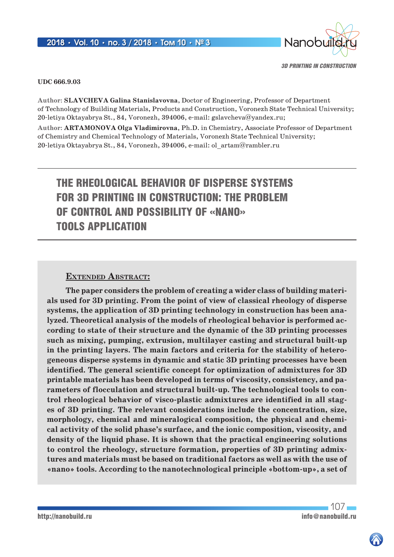

#### **UDC 666.9.03**

**Author: Slavcheva Galina Stanislavovna**, Doctor of Engineering, Professor of Department of Technology of Building Materials, Products and Construction, Voronezh State Technical University; 20-letiya Oktayabrya St., 84, Voronezh, 394006, e-mail: gslavcheva@yandex.ru;

**Author: Artamonova Olga Vladimirovna**, Ph.D. in Chemistry, Associate Professor of Department of Chemistry and Chemical Technology of Materials, Voronezh State Technical University; 20-letiya Oktayabrya St., 84, Voronezh, 394006, e-mail: ol\_artam@rambler.ru

# THE RHEOLOGICAL BEHAVIOR OF DISPERSE SYSTEMS FOR 3D PRINTING IN CONSTRUCTION: THE PROBLEM OF CONTROL AND POSSIBILITY OF «NANO» TOOLS APPLICATION

### **Extended Abstract:**

**The paper considers the problem of creating a wider class of building materials used for 3D printing. From the point of view of classical rheology of disperse systems, the application of 3D printing technology in construction has been analyzed. Theoretical analysis of the models of rheological behavior is performed according to state of their structure and the dynamic of the 3D printing processes such as mixing, pumping, extrusion, multilayer casting and structural built-up in the printing layers. The main factors and criteria for the stability of heterogeneous disperse systems in dynamic and static 3D printing processes have been identified. The general scientific concept for optimization of admixtures for 3D printable materials has been developed in terms of viscosity, consistency, and parameters of flocculation and structural built-up. The technological tools to control rheological behavior of visco-plastic admixtures are identified in all stages of 3D printing. The relevant considerations include the concentration, size, morphology, chemical and mineralogical composition, the physical and chemical activity of the solid phase's surface, and the ionic composition, viscosity, and density of the liquid phase. It is shown that the practical engineering solutions to control the rheology, structure formation, properties of 3D printing admixtures and materials must be based on traditional factors as well as with the use of «nano» tools. According to the nanotechnological principle «bottom-up», a set of**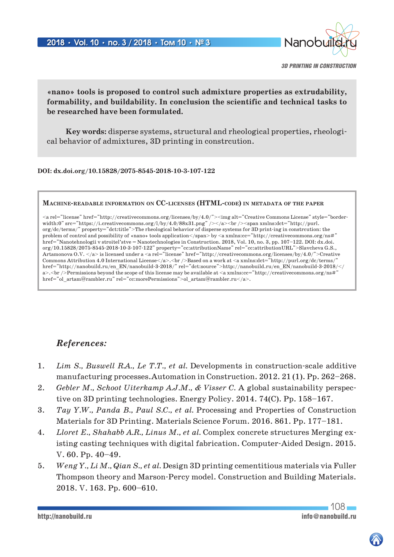

*3D PRINTING IN CONSTRUCTION*

**«nano» tools is proposed to control such admixture properties as extrudability, formability, and buildability. In conclusion the scientific and technical tasks to be researched have been formulated.** 

**Key words:** disperse systems, structural and rheological properties, rheological behavior of admixtures, 3D printing in constrcution.

#### **DOI: dx.doi.org/10.15828/2075-8545-2018-10-3-107-122**

#### **Machine-readable information on CC-licenses (HTML-code) in metadata of the paper**

 $\langle$ a rel="license" href="http://creativecommons.org/licenses/by/4.0/" $\langle$ img alt="Creative Commons License" style="borderwidth:0" src="https://i.creativecommons.org/l/by/4.0/88x31.png" /></a><br />>/>>><span xmlns:dct="http://purl. org/dc/terms/" property="dct:title">The rheological behavior of disperse systems for 3D print-ing in constrcution: the problem of control and possibility of «nano» tools application</span> by <a xmlns:cc="http://creativecommons.org/ns#" href="Nanotehnologii v stroitel'stve = Nanotechnologies in Construction. 2018, Vol. 10, no. 3, pp. 107–122. DOI: dx.doi. org/10.15828/2075-8545-2018-10-3-107-122" property="cc:attributionName" rel="cc:attributionURL">Slavcheva G.S., Artamonova O.V. </a> is licensed under a <a rel="license" href="http://creativecommons.org/licenses/by/4.0/">Creative Commons Attribution 4.0 International License</a>>>>>.<br />br />Based on a work at <a xmlns:dct="http://purl.org/dc/terms/" href="http://nanobuild.ru/en\_EN/nanobuild-3-2018/" rel="dct:source">http://nanobuild.ru/en\_EN/nanobuild-3-2018/</ a>.<br />Permissions beyond the scope of this license may be available at <a xmlns:cc="http://creativecommons.org/ns#" href="ol\_artam@rambler.ru" rel="cc:morePermissions">ol\_artam@rambler.ru</a>.

### *References:*

- 1. *Lim S., Buswell R.A., Le T.T., et al.* Developments in construction-scale additive manufacturing processes.Automation in Construction. 2012. 21 (1). Рр. 262–268.
- 2. *Gebler M., Schoot Uiterkamp A.J.M., & Visser C.* A global sustainability perspective on 3D printing technologies. Energy Policy. 2014. 74(C). Рр. 158–167.
- 3. *Tay Y.W., Panda B., Paul S.C., et al.* Processing and Properties of Construction Materials for 3D Printing. Materials Science Forum. 2016. 861. Рр. 177–181.
- 4. *Lloret E., Shahabb A.R., Linus M., et al.* Complex concrete structures Merging existing casting techniques with digital fabrication. Computer-Aided Design. 2015. V. 60. Pр. 40–49.
- 5. *Weng Y., Li M., Qian S., et al.* Design 3D printing cementitious materials via Fuller Thompson theory and Marson-Percy model. Construction and Building Materials. 2018. V. 163. Pр. 600–610.

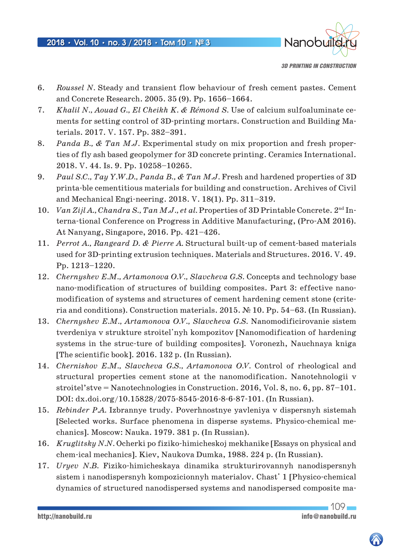

*3D PRINTING IN CONSTRUCTION*

- 6. *Roussel N.* Steady and transient flow behaviour of fresh cement pastes. Cement and Concrete Research. 2005. 35 (9). Рр. 1656–1664.
- 7. *Khalil N., Aouad G., El Cheikh K. & Rémond S.* Use of calcium sulfoaluminate cements for setting control of 3D-printing mortars. Construction and Building Materials. 2017. V. 157. Рр. 382–391.
- 8. *Panda B., & Tan M.J.* Experimental study on mix proportion and fresh properties of fly ash based geopolymer for 3D concrete printing. Ceramics International. 2018. V. 44. Is. 9. Рр. 10258–10265.
- 9. *Paul S.C., Tay Y.W.D., Panda B., & Tan M.J.* Fresh and hardened properties of 3D printa-ble cementitious materials for building and construction. Archives of Civil and Mechanical Engi-neering. 2018. V. 18(1). Рр. 311–319.
- 10. *Van Zijl A., Chandra S., Tan M.J., et al.* Properties of 3D Printable Concrete. 2nd Interna-tional Conference on Progress in Additive Manufacturing, (Pro-AM 2016). At Nanyang, Singapore, 2016. Рр. 421–426.
- 11. *Perrot A., Rangeard D. & Pierre A.* Structural built-up of cement-based materials used for 3D-printing extrusion techniques. Materials and Structures. 2016. V. 49. Pp. 1213–1220.
- 12. *Chernyshev E.M., Artamonova O.V., Slavcheva G.S.* Concepts and technology base nano-modification of structures of building composites. Part 3: effective nanomodification of systems and structures of cement hardening cement stone (criteria and conditions). Construction materials. 2015. № 10. Pp. 54–63. (In Russian).
- 13. *Chernyshev E.M., Artamonova O.V., Slavcheva G.S.* Nanomodificirovanie sistem tverdeniya v strukture stroitel'nyh kompozitov [Nanomodification of hardening systems in the struc-ture of building composites]. Voronezh, Nauchnaya kniga [The scientific book]. 2016. 132 p. (In Russian).
- 14. *Chernishov E.M., Slavcheva G.S., Artamonova O.V.* Control of rheological and structural properties cement stone at the nanomodification. Nanotehnologii v stroitel'stve = Nanotechnologies in Construction. 2016, Vol. 8, no. 6, pp. 87–101. DOI: dx.doi.org/10.15828/2075-8545-2016-8-6-87-101. (In Russian).
- 15. *Rebinder P.A.* Izbrannye trudy. Poverhnostnye yavleniya v dispersnyh sistemah [Selected works. Surface phenomena in disperse systems. Physico-chemical mechanics]. Moscow: Nauka. 1979. 381 p. (In Russian).
- 16. *Kruglitsky N.N.* Ocherki po fiziko-himicheskoj mekhanike [Essays on physical and chem-ical mechanics]. Kiev, Naukova Dumka, 1988. 224 p. (In Russian).
- 17. *Uryev N.B.* Fiziko-himicheskaya dinamika strukturirovannyh nanodispersnyh sistem i nanodispersnyh kompozicionnyh materialov. Chast' 1 [Physico-chemical dynamics of structured nanodispersed systems and nanodispersed composite ma-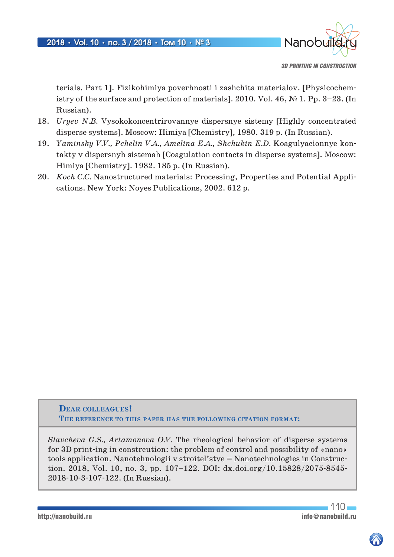

*3D PRINTING IN CONSTRUCTION*

terials. Part 1]. Fizikohimiya poverhnosti i zashchita materialov. [Physicochemistry of the surface and protection of materials]. 2010. Vol. 46, № 1. Pp. 3–23. (In Russian).

- 18. *Uryev N.B.* Vysokokoncentrirovannye dispersnye sistemy [Highly concentrated disperse systems]. Moscow: Himiya [Chemistry], 1980. 319 p. (In Russian).
- 19. *Yaminsky V.V., Pchelin V.A., Amelina E.A., Shchukin E.D.* Koagulyacionnye kontakty v dispersnyh sistemah [Coagulation contacts in disperse systems]. Moscow: Himiya [Chemistry]. 1982. 185 p. (In Russian).
- 20. *Koch C.C.* Nanostructured materials: Processing, Properties and Potential Applications. New York: Noyes Publications, 2002. 612 p.

**Dear colleagues! The reference to this paper has the following citation format:**

*Slavcheva G.S., Artamonova O.V.* The rheological behavior of disperse systems for 3D print-ing in constrcution: the problem of control and possibility of «nano» tools application. Nanotehnologii v stroitel'stve = Nanotechnologies in Construction. 2018, Vol. 10, no. 3, pp. 107–122. DOI: dx.doi.org/10.15828/2075-8545- 2018-10-3-107-122. (In Russian).

 $110$ http://nanobuild.ru<br>
info@nanobuild.ru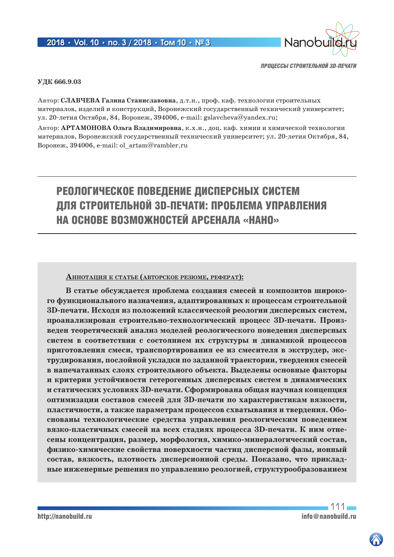

#### **УДК 666.9.03**

**Автор: Славчева Галина Станиславовна**, д.т.н., проф. каф. технологии строительных материалов, изделий и конструкций, Воронежский государственный технический университет; ул. 20-летия Октября, 84, Воронеж, 394006, e-mail: gslavcheva@yandex.ru;

**Автор: Артамонова Ольга Владимировна**, к.х.н., доц. каф. химии и химической технологии материалов, Воронежский государственный технический университет; ул. 20-летия Октября, 84, Воронеж, 394006, e-mail: ol\_artam@rambler.ru

# РЕОЛОГИЧЕСКОЕ ПОВЕДЕНИЕ ДИСПЕРСНЫХ СИСТЕМ ДЛЯ СТРОИТЕЛЬНОЙ 3D-ПЕЧАТИ: ПРОБЛЕМА УПРАВЛЕНИЯ НА ОСНОВЕ ВОЗМОЖНОСТЕЙ АРСЕНАЛА «НАНО»

#### **АннотАция <sup>к</sup> стАтье (Авторское резюме, реферАт):**

**В статье обсуждается проблема создания смесей и композитов широкого функционального назначения, адаптированных к процессам строительной 3D-печати. Исходя из положений классической реологии дисперсных систем, проанализирован строительно-технологический процесс 3D-печати. Произведен теоретический анализ моделей реологического поведения дисперсных систем в соответствии с состоянием их структуры и динамикой процессов приготовления смеси, транспортирования ее из смесителя в экструдер, экструдирования, послойной укладки по заданной траектории, твердения смесей в напечатанных слоях строительного объекта. Выделены основные факторы и критерии устойчивости гетерогенных дисперсных систем в динамических и статических условиях 3D-печати. Сформирована общая научная концепция оптимизации составов смесей для 3D-печати по характеристикам вязкости, пластичности, а также параметрам процессов схватывания и твердения. Обоснованы технологические средства управления реологическим поведением вязко-пластичных смесей на всех стадиях процесса 3D-печати. К ним отнесены концентрация, размер, морфология, химико-минералогический состав, физико-химические свойства поверхности частиц дисперсной фазы, ионный состав, вязкость, плотность дисперсионной среды. Показано, что прикладные инженерные решения по управлению реологией, структурообразованием** 

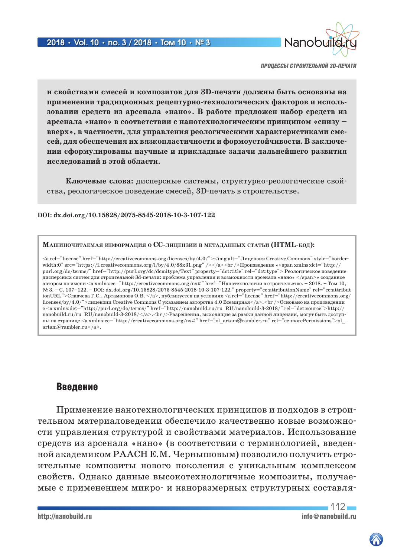

**и свойствами смесей и композитов для 3D-печати должны быть основаны на применении традиционных рецептурно-технологических факторов и использовании средств из арсенала «нано». В работе предложен набор средств из арсенала «нано» в соответствии с нанотехнологическим принципом «снизу – вверх», в частности, для управления реологическими характеристиками смесей, для обеспечения их вязкопластичности и формоустойчивости. В заключении сформулированы научные и прикладные задачи дальнейшего развития исследований в этой области.**

**Ключевые слова:** дисперсные системы, структурно-реологические свойства, реологическое поведение смесей, 3D-печать в строительстве.

#### **DOI: dx.doi.org/10.15828/2075-8545-2018-10-3-107-122**

#### **МАшиночитАемАя информАция о CC-лицензии в метАдАнных стАтьи (HTML-код):**

 $\langle$ a rel="license" href="http://creativecommons.org/licenses/by/4.0/"> $\langle$ img alt="Лицензия Creative Commons" style="borderwidth:0" src="https://i.creativecommons.org/l/by/4.0/88x31.png" /></a><br />Произведение «<span xmlns:dct="http:// purl.org/dc/terms/" href="http://purl.org/dc/dcmitype/Text" property="dct:title" rel="dct:type"> Реологическое поведение дисперсных систем для строительной 3d-печати: проблема управления и возможности арсенала «нано» </span>» созданное автором по имени <a xmlns:cc="http://creativecommons.org/ns#" href="Нанотехнологии в строительстве. – 2018. – Том 10, № 3. – С. 107–122. – DOI: dx.doi.org/10.15828/2075-8545-2018-10-3-107-122." property="cc:attributionName" rel="cc:attribut ionURL">Славчева Г.С., Артамонова O.B. </a>, публикуется на условиях <a rel="license" href="http://creativecommons.org/ licenses/by/4.0/">лицензии Creative Commons С указанием авторства 4.0 Всемирная</a>.<br/>>br />Основано на произведении с <a xmlns:dct="http://purl.org/dc/terms/" href="http://nanobuild.ru/ru\_RU/nanobuild-3-2018/" rel="dct:source">http:// nanobuild.ru/ru\_RU/nanobuild-3-2018/</a>.<br />Разрешения, выходящие за рамки данной лицензии, могут быть доступны на странице <a xmlns:cc="http://creativecommons.org/ns#" href="ol\_artam@rambler.ru" rel="cc:morePermissions">ol\_ artam@rambler.ru</a>.

### Введение

Применение нанотехнологических принципов и подходов в строительном материаловедении обеспечило качественно новые возможности управления структурой и свойствами материалов. Использование средств из арсенала «нано» (в соответствии с терминологией, введенной академиком РААСН Е.М. Чернышовым) позволило получить строительные композиты нового поколения с уникальным комплексом свойств. Однако данные высокотехнологичные композиты, получаемые с применением микро- и наноразмерных структурных составля-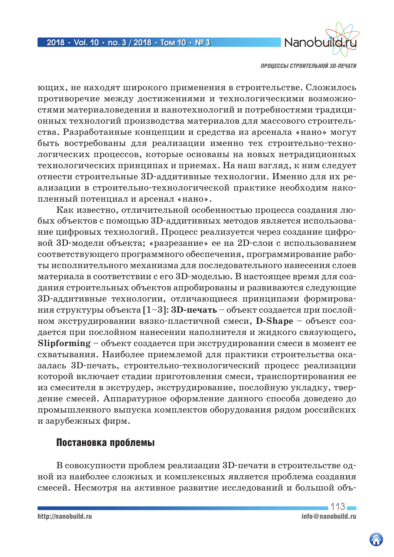

ющих, не находят широкого применения в строительстве. Сложилось противоречие между достижениями и технологическими возможностями материаловедения и нанотехнологий и потребностями традиционных технологий производства материалов для массового строительства. Разработанные концепции и средства из арсенала «нано» могут быть востребованы для реализации именно тех строительно-технологических процессов, которые основаны на новых нетрадиционных технологических принципах и приемах. На наш взгляд, к ним следует отнести строительные 3D-аддитивные технологии. Именно для их реализации в строительно-технологической практике необходим накопленный потенциал и арсенал «нано».

Как известно, отличительной особенностью процесса создания любых объектов с помощью 3D-аддитивных методов является использование цифровых технологий. Процесс реализуется через создание цифровой 3D-модели объекта; «разрезание» ее на 2D-слои с использованием соответствующего программного обеспечения, программирование работы исполнительного механизма для последовательного нанесения слоев материала в соответствии с его 3D-моделью. В настоящее время для создания строительных объектов апробированы и развиваются следующие 3D-аддитивные технологии, отличающиеся принципами формирования структуры объекта [1–3]: **3D-печать** – объект создается при послойном экструдировании вязко-пластичной смеси, **D-Shape** – объект создается при послойном нанесении наполнителя и жидкого связующего, **Slipforming** – объект создается при экструдировании смеси в момент ее схватывания. Наиболее приемлемой для практики строительства оказалась 3D-печать, строительно-технологический процесс реализации которой включает стадии приготовления смеси, транспортирования ее из смесителя в экструдер, экструдирование, послойную укладку, твердение смесей. Аппаратурное оформление данного способа доведено до промышленного выпуска комплектов оборудования рядом российских и зарубежных фирм.

# Постановка проблемы

В совокупности проблем реализации 3D-печати в строительстве одной из наиболее сложных и комплексных является проблема создания смесей. Несмотря на активное развитие исследований и большой объ-

 $113 -$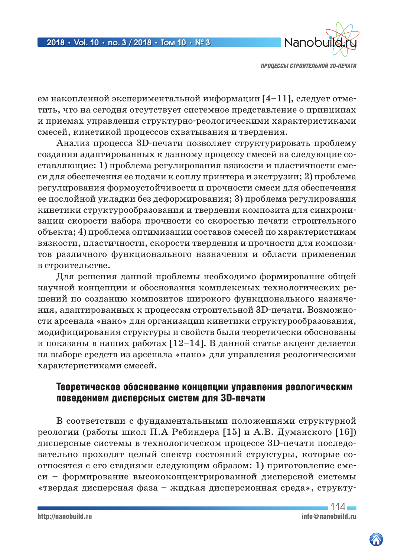

ем накопленной экспериментальной информации [4–11], следует отметить, что на сегодня отсутствует системное представление о принципах и приемах управления структурно-реологическими характеристиками смесей, кинетикой процессов схватывания и твердения.

Анализ процесса 3D-печати позволяет структурировать проблему создания адаптированных к данному процессу смесей на следующие составляющие: 1) проблема регулирования вязкости и пластичности смеси для обеспечения ее подачи к соплу принтера и экструзии; 2) проблема регулирования формоустойчивости и прочности смеси для обеспечения ее послойной укладки без деформирования; 3) проблема регулирования кинетики структурообразования и твердения композита для синхронизации скорости набора прочности со скоростью печати строительного объекта; 4) проблема оптимизации составов смесей по характеристикам вязкости, пластичности, скорости твердения и прочности для композитов различного функционального назначения и области применения в строительстве.

Для решения данной проблемы необходимо формирование общей научной концепции и обоснования комплексных технологических решений по созданию композитов широкого функционального назначения, адаптированных к процессам строительной 3D-печати. Возможности арсенала «нано» для организации кинетики структурообразования, модифицирования структуры и свойств были теоретически обоснованы и показаны в наших работах [12–14]. В данной статье акцент делается на выборе средств из арсенала «нано» для управления реологическими характеристиками смесей.

# Теоретическое обоснование концепции управления реологическим поведением дисперсных систем для 3D-печати

В соответствии с фундаментальными положениями структурной реологии (работы школ П.А Ребиндера [15] и А.В. Думанского [16]) дисперсные системы в технологическом процессе 3D-печати последовательно проходят целый спектр состояний структуры, которые соотносятся с его стадиями следующим образом: 1) приготовление смеси – формирование высококонцентрированной дисперсной системы «твердая дисперсная фаза – жидкая дисперсионная среда», структу-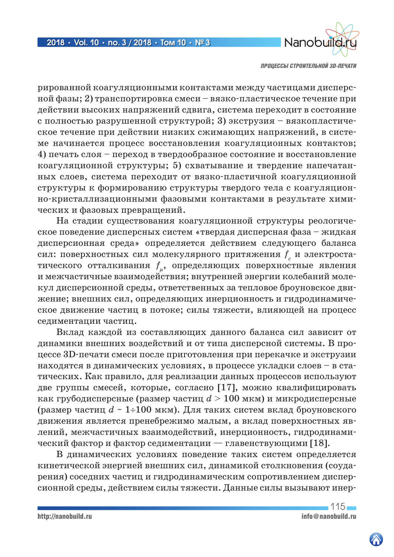

рированной коагуляционными контактами между частицами дисперсной фазы; 2) транспортировка смеси – вязко-пластическое течение при действии высоких напряжений сдвига, система переходит в состояние с полностью разрушенной структурой; 3) экструзия – вязкопластическое течение при действии низких сжимающих напряжений, в системе начинается процесс восстановления коагуляционных контактов; 4) печать слоя – переход в твердообразное состояние и восстановление коагуляционной структуры; 5) схватывание и твердение напечатанных слоев, система переходит от вязко-пластичной коагуляционной структуры к формированию структуры твердого тела с коагуляционно-кристаллизационными фазовыми контактами в результате химических и фазовых превращений.

На стадии существования коагуляционной структуры реологическое поведение дисперсных систем «твердая дисперсная фаза – жидкая дисперсионная среда» определяется действием следующего баланса сил: поверхностных сил молекулярного притяжения  $f_{c}^{\phantom{\dag}}$  и электростатического отталкивания  $f_{\mu}$ , определяющих поверхностные явления и межчастичные взаимодействия; внутренней энергии колебаний молекул дисперсионной среды, ответственных за тепловое броуновское движение; внешних сил, определяющих инерционность и гидродинамическое движение частиц в потоке; силы тяжести, влияющей на процесс седиментации частиц.

Вклад каждой из составляющих данного баланса сил зависит от динамики внешних воздействий и от типа дисперсной системы. В процессе 3D-печати смеси после приготовления при перекачке и экструзии находятся в динамических условиях, в процессе укладки слоев – в статических. Как правило, для реализации данных процессов используют две группы смесей, которые, согласно [17], можно квалифицировать как грубодисперсные (размер частиц *d* > 100 мкм) и микродисперсные (размер частиц *d* ~ 1÷100 мкм). Для таких систем вклад броуновского движения является пренебрежимо малым, а вклад поверхностных явлений, межчастичных взаимодействий, инерционность, гидродинамический фактор и фактор седиментации — главенствующими [18].

В динамических условиях поведение таких систем определяется кинетической энергией внешних сил, динамикой столкновения (соударения) соседних частиц и гидродинамическим сопротивлением дисперсионной среды, действием силы тяжести. Данные силы вызывают инер-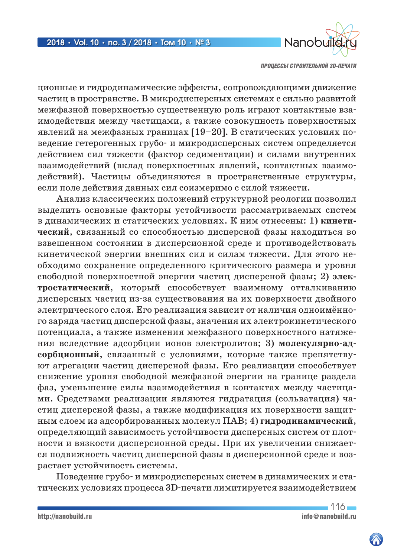

ционные и гидродинамические эффекты, сопровождающими движение частиц в пространстве. В микродисперсных системах с сильно развитой межфазной поверхностью существенную роль играют контактные взаимодействия между частицами, а также совокупность поверхностных явлений на межфазных границах [19–20]. В статических условиях поведение гетерогенных грубо- и микродисперсных систем определяется действием сил тяжести (фактор седиментации) и силами внутренних взаимодействий (вклад поверхностных явлений, контактных взаимодействий). Частицы объединяются в пространственные структуры, если поле действия данных сил соизмеримо с силой тяжести.

Анализ классических положений структурной реологии позволил выделить основные факторы устойчивости рассматриваемых систем в динамических и статических условиях. К ним отнесены: 1) **кинетический**, связанный со способностью дисперсной фазы находиться во взвешенном состоянии в дисперсионной среде и противодействовать кинетической энергии внешних сил и силам тяжести. Для этого необходимо сохранение определенного критического размера и уровня свободной поверхностной энергии частиц дисперсной фазы; 2) **электростатический**, который способствует взаимному отталкиванию дисперсных частиц из-за существования на их поверхности двойного электрического слоя. Его реализация зависит от наличия одноимённого заряда частиц дисперсной фазы, значения их электрокинетического потенциала, а также изменения межфазного поверхностного натяжения вследствие адсорбции ионов электролитов; 3) **молекулярно-адсорбционный**, связанный с условиями, которые также препятствуют агрегации частиц дисперсной фазы. Его реализации способствует снижение уровня свободной межфазной энергии на границе раздела фаз, уменьшение силы взаимодействия в контактах между частицами. Средствами реализации являются гидратация (сольватация) частиц дисперсной фазы, а также модификация их поверхности защитным слоем из адсорбированных молекул ПАВ; 4) **гидродинамический**, определяющий зависимость устойчивости дисперсных систем от плотности и вязкости дисперсионной среды. При их увеличении снижается подвижность частиц дисперсной фазы в дисперсионной среде и возрастает устойчивость системы.

Поведение грубо- и микродисперсных систем в динамических и статических условиях процесса 3D-печати лимитируется взаимодействием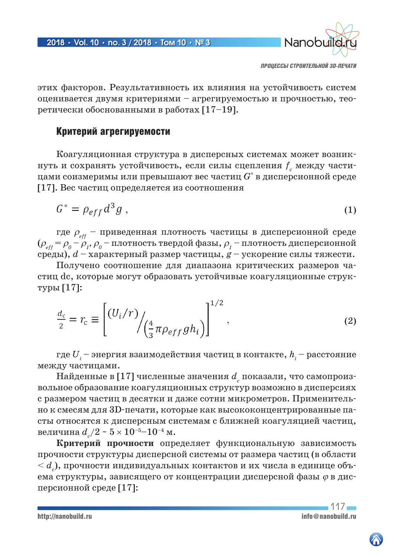

этих факторов. Результативность их влияния на устойчивость систем оценивается двумя критериями – агрегируемостью и прочностью, теоретически обоснованными в работах [17–19].

# Критерий агрегируемости

Коагуляционная структура в дисперсных системах может возникнуть и сохранять устойчивость, если силы сцепления  $f_{c}^{\phantom{\dag}}$  между частицами соизмеримы или превышают вес частиц *G\** в дисперсионной среде [17]. Вес частиц определяется из соотношения

$$
G^* = \rho_{eff} d^3 g \tag{1}
$$

где  $\rho_{_{\it eff}}$  – приведенная плотность частицы в дисперсионной среде  $(\rho_{_{eff}} = \rho_{_0} - \rho_{_I}, \rho_{_0} -$  плотность твердой фазы,  $\rho_{_I}$  – плотность дисперсионной среды), *d* – характерный размер частицы, *g* – ускорение силы тяжести.

Получено соотношение для диапазона критических размеров частиц dc, которые могут образовать устойчивые коагуляционные структуры [17]:

$$
\frac{d_c}{2} = r_c \equiv \left[ \frac{(U_i/r)}{\left(\frac{4}{3}\pi \rho_{eff}gh_i\right)} \right]^{1/2},\tag{2}
$$

где  $U^{\phantom{\dagger}}_i$  – энергия взаимодействия частиц в контакте,  $h^{\phantom{\dagger}}_i$  – расстояние между частицами.

Найденные в [17] численные значения  $d_{_{c}}$  показали, что самопроизвольное образование коагуляционных структур возможно в дисперсиях с размером частиц в десятки и даже сотни микрометров. Применительно к смесям для 3D-печати, которые как высококонцентрированные пасты относятся к дисперсным системам с ближней коагуляцией частиц, величина  $d_{_c}/2 \sim 5 \times 10^{-5} \text{--} 10^{-4}$  м.

**Критерий прочности** определяет функциональную зависимость прочности структуры дисперсной системы от размера частиц (в области  $< d_{_c}$ ), прочности индивидуальных контактов и их числа в единице объема структуры, зависящего от концентрации дисперсной фазы  $\varphi$  в дисперсионной среде [17]: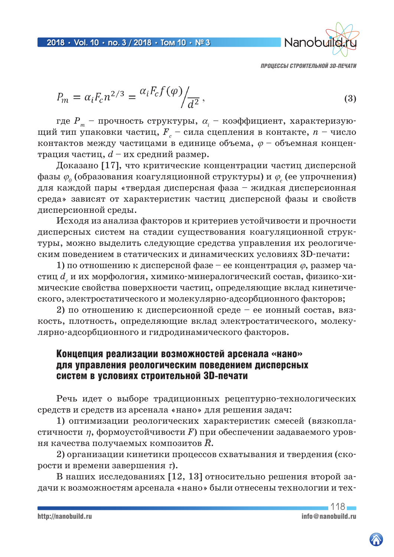

$$
P_m = \alpha_i F_c n^{2/3} = \frac{\alpha_i F_c f(\varphi)}{d^2},
$$
\n(3)

где  $P_{_{m}}$  – прочность структуры,  $\alpha_{_{i}}$  – коэффициент, характеризующий тип упаковки частиц,  $\overline{F}_{c}$  – сила сцепления в контакте,  $n$  – число контактов между частицами в единице объема,  $\varphi$  – объемная концентрация частиц, *d* – их средний размер.

Доказано [17], что критические концентрации частиц дисперсной фазы  $\varphi_{_0}$  (образования коагуляционной структуры) и  $\varphi_{_c}$  (ее упрочнения) для каждой пары «твердая дисперсная фаза – жидкая дисперсионная среда» зависят от характеристик частиц дисперсной фазы и свойств дисперсионной среды.

Исходя из анализа факторов и критериев устойчивости и прочности дисперсных систем на стадии существования коагуляционной структуры, можно выделить следующие средства управления их реологическим поведением в статических и динамических условиях 3D-печати:

1) по отношению к дисперсной фазе – ее концентрация  $\varphi$ , размер частиц  $d_{_c}$ и их морфология, химико-минералогический состав, физико-химические свойства поверхности частиц, определяющие вклад кинетического, электростатического и молекулярно-адсорбционного факторов;

2) по отношению к дисперсионной среде – ее ионный состав, вязкость, плотность, определяющие вклад электростатического, молекулярно-адсорбционного и гидродинамического факторов.

# Концепция реализации возможностей арсенала «нано» для управления реологическим поведением дисперсных систем в условиях строительной 3D-печати

Речь идет о выборе традиционных рецептурно-технологических средств и средств из арсенала «нано» для решения задач:

1) оптимизации реологических характеристик смесей (вязкопластичности h, формоустойчивости *F*) при обеспечении задаваемого уровня качества получаемых композитов  $\bar{R}$ .

2) организации кинетики процессов схватывания и твердения (скорости и времени завершения  $\tau$ ).

В наших исследованиях [12, 13] относительно решения второй задачи к возможностям арсенала «нано» были отнесены технологии и тех-



 $118 -$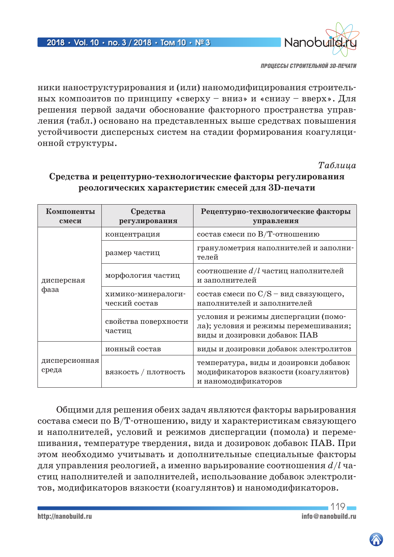

ники наноструктурирования и (или) наномодифицирования строительных композитов по принципу «сверху – вниз» и «снизу – вверх». Для решения первой задачи обоснование факторного пространства управления (табл.) основано на представленных выше средствах повышения устойчивости дисперсных систем на стадии формирования коагуляционной структуры.

*Таблица*

| Компоненты<br>смеси    | Средства<br>регулирования           | Рецептурно-технологические факторы<br>управления                                                            |
|------------------------|-------------------------------------|-------------------------------------------------------------------------------------------------------------|
| дисперсная<br>фаза     | концентрация                        | состав смеси по В/Т-отношению                                                                               |
|                        | размер частиц                       | гранулометрия наполнителей и заполни-<br>телей                                                              |
|                        | морфология частиц                   | соотношение $d/l$ частиц наполнителей<br>и заполнителей                                                     |
|                        | химико-минералоги-<br>ческий состав | состав смеси по $C/S$ – вид связующего,<br>наполнителей и заполнителей                                      |
|                        | свойства поверхности<br>частиц      | условия и режимы диспергации (помо-<br>ла); условия и режимы перемешивания;<br>виды и дозировки добавок ПАВ |
| дисперсионная<br>среда | ионный состав                       | виды и дозировки добавок электролитов                                                                       |
|                        | вязкость / плотность                | температура, виды и дозировки добавок<br>модификаторов вязкости (коагулянтов)<br>и наномодификаторов        |

# **Средства и рецептурно-технологические факторы регулирования реологических характеристик смесей для 3D-печати**

Общими для решения обеих задач являются факторы варьирования состава смеси по В/Т-отношению, виду и характеристикам связующего и наполнителей, условий и режимов диспергации (помола) и перемешивания, температуре твердения, вида и дозировок добавок ПАВ. При этом необходимо учитывать и дополнительные специальные факторы для управления реологией, а именно варьирование соотношения *d/l* частиц наполнителей и заполнителей, использование добавок электролитов, модификаторов вязкости (коагулянтов) и наномодификаторов.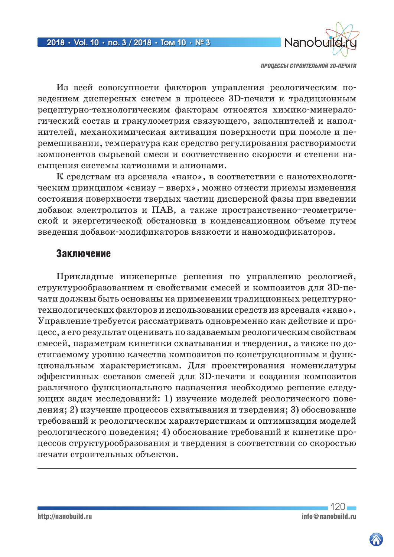

Из всей совокупности факторов управления реологическим поведением дисперсных систем в процессе 3D-печати к традиционным рецептурно-технологическим факторам относятся химико-минералогический состав и гранулометрия связующего, заполнителей и наполнителей, механохимическая активация поверхности при помоле и перемешивании, температура как средство регулирования растворимости компонентов сырьевой смеси и соответственно скорости и степени насыщения системы катионами и анионами.

К средствам из арсенала «нано», в соответствии с нанотехнологическим принципом «снизу – вверх», можно отнести приемы изменения состояния поверхности твердых частиц дисперсной фазы при введении добавок электролитов и ПАВ, а также пространственно–геометрической и энергетической обстановки в конденсационном объеме путем введения добавок-модификаторов вязкости и наномодификаторов.

### Заключение

Прикладные инженерные решения по управлению реологией, структурообразованием и свойствами смесей и композитов для 3D-печати должны быть основаны на применении традиционных рецептурнотехнологических факторов и использовании средств из арсенала «нано». Управление требуется рассматривать одновременно как действие и процесс, а его результат оценивать по задаваемым реологическим свойствам смесей, параметрам кинетики схватывания и твердения, а также по достигаемому уровню качества композитов по конструкционным и функциональным характеристикам. Для проектирования номенклатуры эффективных составов смесей для 3D-печати и создания композитов различного функционального назначения необходимо решение следующих задач исследований: 1) изучение моделей реологического поведения; 2) изучение процессов схватывания и твердения; 3) обоснование требований к реологическим характеристикам и оптимизация моделей реологического поведения; 4) обоснование требований к кинетике процессов структурообразования и твердения в соответствии со скоростью печати строительных объектов.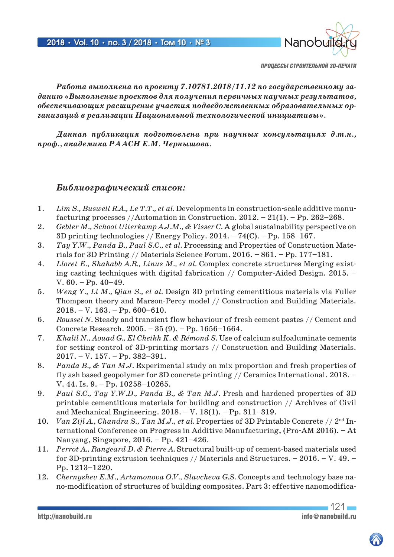

*Работа выполнена по проекту 7.10781.2018/11.12 по государственному заданию «Выполнение проектов для получения первичных научных результатов, обеспечивающих расширение участия подведомственных образовательных организаций в реализации Национальной технологической инициативы».*

*Данная публикация подготовлена при научных консультациях д.т.н., проф., академика РААСН Е.М. Чернышова.*

### *Библиографический список:*

- 1. *Lim S., Buswell R.A., Le T.T., et al.* Developments in construction-scale additive manufacturing processes //Automation in Construction.  $2012. - 21(1)$ . - Pp.  $262-268$ .
- 2. *Gebler M., Schoot Uiterkamp A.J.M., & Visser C.* A global sustainability perspective on 3D printing technologies // Energy Policy.  $2014. - 74(C)$ . – Pp. 158–167.
- 3. *Tay Y.W., Panda B., Paul S.C., et al.* Processing and Properties of Construction Materials for 3D Printing // Materials Science Forum. 2016. – 861. – Рр. 177–181.
- 4. *Lloret E., Shahabb A.R., Linus M., et al.* Complex concrete structures Merging existing casting techniques with digital fabrication // Computer-Aided Design. 2015. – V.  $60. - Pp. 40 - 49.$
- 5. *Weng Y., Li M., Qian S., et al.* Design 3D printing cementitious materials via Fuller Thompson theory and Marson-Percy model // Construction and Building Materials.  $2018. - V. 163. - Pp. 600 - 610.$
- 6. *Roussel N.* Steady and transient flow behaviour of fresh cement pastes // Cement and Concrete Research. 2005. – 35 (9). – Рр. 1656–1664.
- 7. *Khalil N., Aouad G., El Cheikh K. & Rémond S.* Use of calcium sulfoaluminate cements for setting control of 3D-printing mortars // Construction and Building Materials. 2017. – V. 157. – Рр. 382–391.
- 8. *Panda B., & Tan M.J.* Experimental study on mix proportion and fresh properties of fly ash based geopolymer for 3D concrete printing // Ceramics International. 2018. – V. 44. Is. 9. – Рр. 10258–10265.
- 9. *Paul S.C., Tay Y.W.D., Panda B., & Tan M.J.* Fresh and hardened properties of 3D printable cementitious materials for building and construction // Archives of Civil and Mechanical Engineering. 2018. – V. 18(1). – Рр. 311–319.
- 10. *Van Zijl A., Chandra S., Tan M.J., et al.* Properties of 3D Printable Concrete // 2<sup>nd</sup> International Conference on Progress in Additive Manufacturing, (Pro-AM 2016). – At Nanyang, Singapore, 2016. – Рр. 421–426.
- 11. *Perrot A., Rangeard D. & Pierre A.* Structural built-up of cement-based materials used for 3D-printing extrusion techniques // Materials and Structures.  $-2016$ .  $- V. 49$ . Pp. 1213–1220.
- 12. *Chernyshev E.M., Artamonova O.V., Slavcheva G.S.* Concepts and technology base nano-modification of structures of building composites. Part 3: effective nanomodifica-